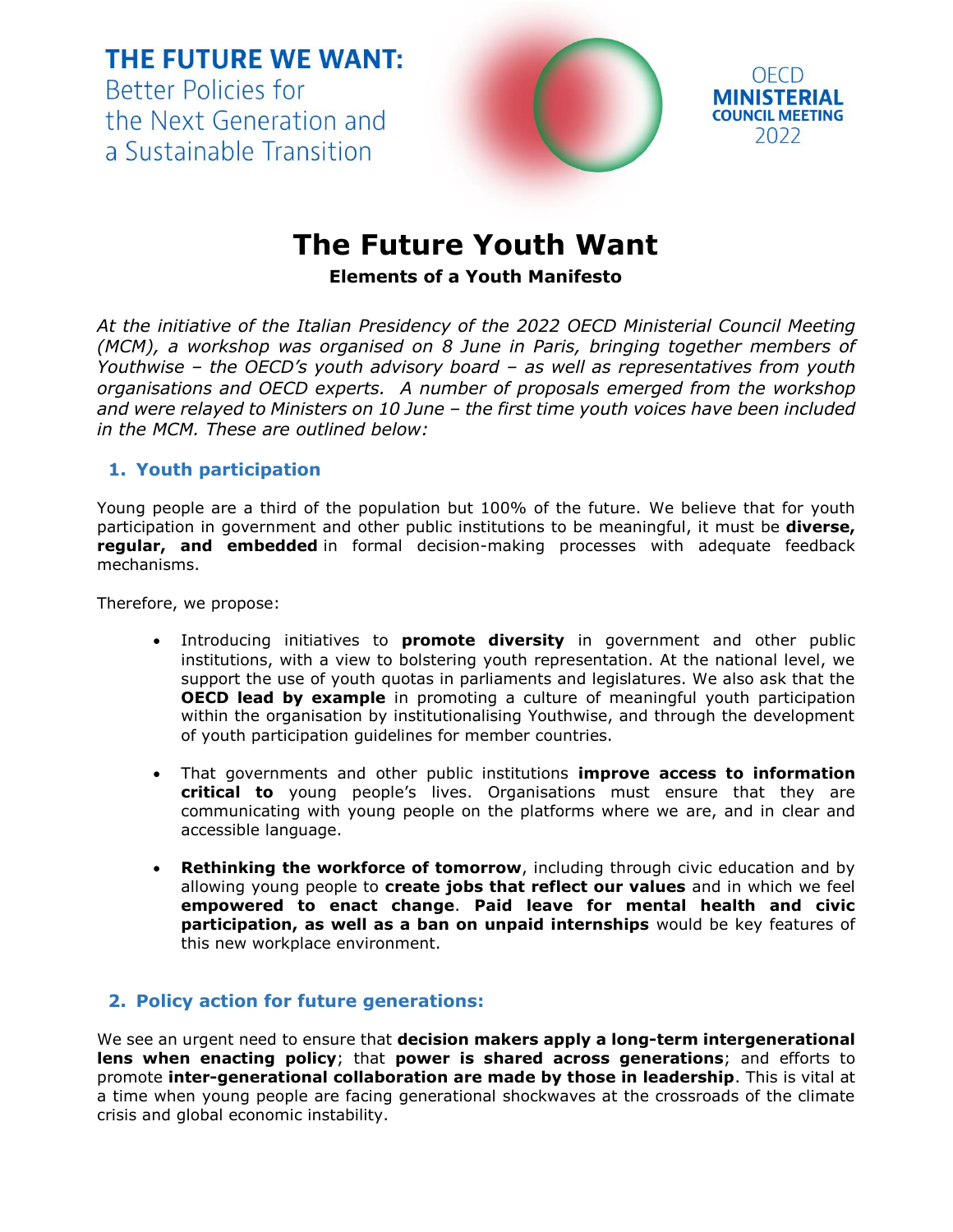**THE FUTURE WE WANT: Better Policies for** the Next Generation and a Sustainable Transition



OECD

2022



**. Elements of a Youth Manifesto**

*At the initiative of the Italian Presidency of the 2022 OECD Ministerial Council Meeting (MCM), a workshop was organised on 8 June in Paris, bringing together members of Youthwise – the OECD's youth advisory board – as well as representatives from youth organisations and OECD experts. A number of proposals emerged from the workshop and were relayed to Ministers on 10 June – the first time youth voices have been included in the MCM. These are outlined below:*

## **1. Youth participation**

Young people are a third of the population but 100% of the future. We believe that for youth participation in government and other public institutions to be meaningful, it must be **diverse, regular, and embedded** in formal decision-making processes with adequate feedback mechanisms.

Therefore, we propose:

- Introducing initiatives to **promote diversity** in government and other public institutions, with a view to bolstering youth representation. At the national level, we support the use of youth quotas in parliaments and legislatures. We also ask that the **OECD lead by example** in promoting a culture of meaningful youth participation within the organisation by institutionalising Youthwise, and through the development of youth participation guidelines for member countries.
- That governments and other public institutions **improve access to information critical to** young people's lives. Organisations must ensure that they are communicating with young people on the platforms where we are, and in clear and accessible language.
- **Rethinking the workforce of tomorrow**, including through civic education and by allowing young people to **create jobs that reflect our values** and in which we feel **empowered to enact change**. **Paid leave for mental health and civic participation, as well as a ban on unpaid internships** would be key features of this new workplace environment.

## **2. Policy action for future generations:**

We see an urgent need to ensure that **decision makers apply a long-term intergenerational lens when enacting policy**; that **power is shared across generations**; and efforts to promote **inter-generational collaboration are made by those in leadership**. This is vital at a time when young people are facing generational shockwaves at the crossroads of the climate crisis and global economic instability.